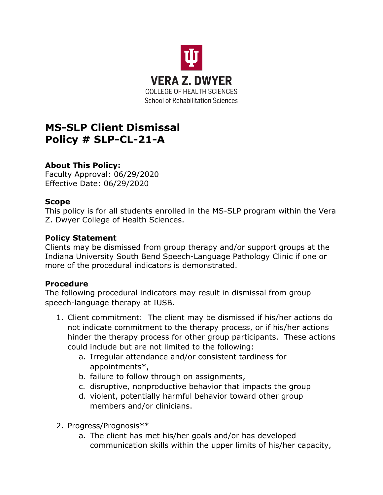

# **MS-SLP Client Dismissal Policy # SLP-CL-21-A**

## **About This Policy:**

Faculty Approval: 06/29/2020 Effective Date: 06/29/2020

### **Scope**

This policy is for all students enrolled in the MS-SLP program within the Vera Z. Dwyer College of Health Sciences.

#### **Policy Statement**

Clients may be dismissed from group therapy and/or support groups at the Indiana University South Bend Speech-Language Pathology Clinic if one or more of the procedural indicators is demonstrated.

### **Procedure**

The following procedural indicators may result in dismissal from group speech-language therapy at IUSB.

- 1. Client commitment: The client may be dismissed if his/her actions do not indicate commitment to the therapy process, or if his/her actions hinder the therapy process for other group participants. These actions could include but are not limited to the following:
	- a. Irregular attendance and/or consistent tardiness for appointments\*,
	- b. failure to follow through on assignments,
	- c. disruptive, nonproductive behavior that impacts the group
	- d. violent, potentially harmful behavior toward other group members and/or clinicians.
- 2. Progress/Prognosis\*\*
	- a. The client has met his/her goals and/or has developed communication skills within the upper limits of his/her capacity,